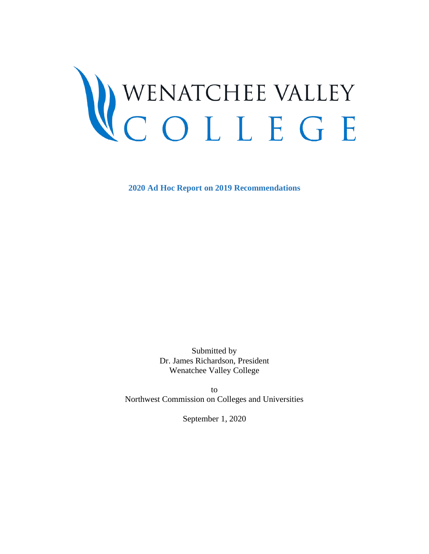# WENATCHEE VALLEY<br>COLLEGE

**2020 Ad Hoc Report on 2019 Recommendations**

Submitted by Dr. James Richardson, President Wenatchee Valley College

to Northwest Commission on Colleges and Universities

<span id="page-0-0"></span>September 1, 2020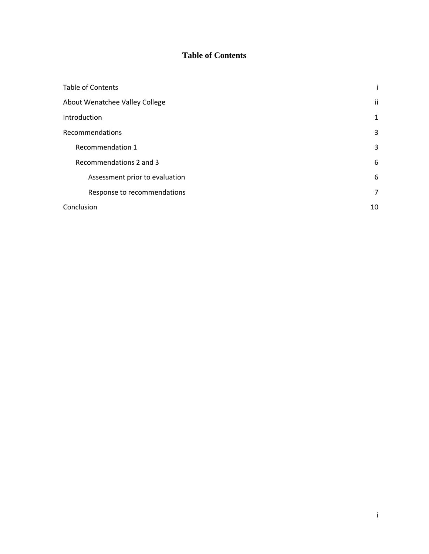# **Table of Contents**

| <b>Table of Contents</b>       |              |
|--------------------------------|--------------|
| About Wenatchee Valley College | ii           |
| Introduction                   | $\mathbf{1}$ |
| Recommendations                | 3            |
| Recommendation 1               | 3            |
| Recommendations 2 and 3        | 6            |
| Assessment prior to evaluation | 6            |
| Response to recommendations    | 7            |
| Conclusion                     | 10           |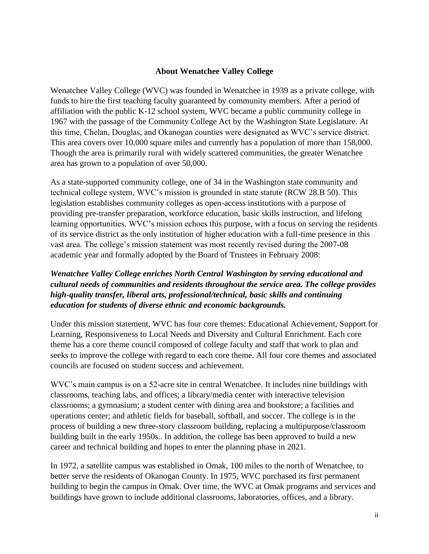#### **About Wenatchee Valley College**

<span id="page-2-0"></span>Wenatchee Valley College (WVC) was founded in Wenatchee in 1939 as a private college, with funds to hire the first teaching faculty guaranteed by community members. After a period of affiliation with the public K-12 school system, WVC became a public community college in 1967 with the passage of the Community College Act by the Washington State Legislature. At this time, Chelan, Douglas, and Okanogan counties were designated as WVC's service district. This area covers over 10,000 square miles and currently has a population of more than 158,000. Though the area is primarily rural with widely scattered communities, the greater Wenatchee area has grown to a population of over 50,000.

As a state-supported community college, one of 34 in the Washington state community and technical college system, WVC's mission is grounded in state statute (RCW 28.B 50). This legislation establishes community colleges as open-access institutions with a purpose of providing pre-transfer preparation, workforce education, basic skills instruction, and lifelong learning opportunities. WVC's mission echoes this purpose, with a focus on serving the residents of its service district as the only institution of higher education with a full-time presence in this vast area. The college's mission statement was most recently revised during the 2007-08 academic year and formally adopted by the Board of Trustees in February 2008:

# *Wenatchee Valley College enriches North Central Washington by serving educational and cultural needs of communities and residents throughout the service area. The college provides high-quality transfer, liberal arts, professional/technical, basic skills and continuing education for students of diverse ethnic and economic backgrounds.*

Under this mission statement, WVC has four core themes: Educational Achievement, Support for Learning, Responsiveness to Local Needs and Diversity and Cultural Enrichment. Each core theme has a core theme council composed of college faculty and staff that work to plan and seeks to improve the college with regard to each core theme. All four core themes and associated councils are focused on student success and achievement.

WVC's main campus is on a 52-acre site in central Wenatchee. It includes nine buildings with classrooms, teaching labs, and offices; a library/media center with interactive television classrooms; a gymnasium; a student center with dining area and bookstore; a facilities and operations center; and athletic fields for baseball, softball, and soccer. The college is in the process of building a new three-story classroom building, replacing a multipurpose/classroom building built in the early 1950s.. In addition, the college has been approved to build a new career and technical building and hopes to enter the planning phase in 2021.

In 1972, a satellite campus was established in Omak, 100 miles to the north of Wenatchee, to better serve the residents of Okanogan County. In 1975, WVC purchased its first permanent building to begin the campus in Omak. Over time, the WVC at Omak programs and services and buildings have grown to include additional classrooms, laboratories, offices, and a library.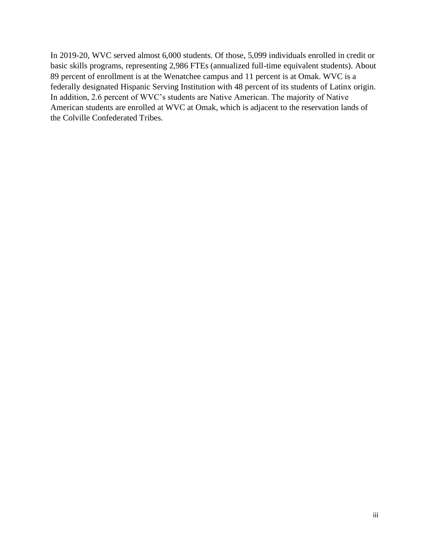<span id="page-3-0"></span>In 2019-20, WVC served almost 6,000 students. Of those, 5,099 individuals enrolled in credit or basic skills programs, representing 2,986 FTEs (annualized full-time equivalent students). About 89 percent of enrollment is at the Wenatchee campus and 11 percent is at Omak. WVC is a federally designated Hispanic Serving Institution with 48 percent of its students of Latinx origin. In addition, 2.6 percent of WVC's students are Native American. The majority of Native American students are enrolled at WVC at Omak, which is adjacent to the reservation lands of the Colville Confederated Tribes.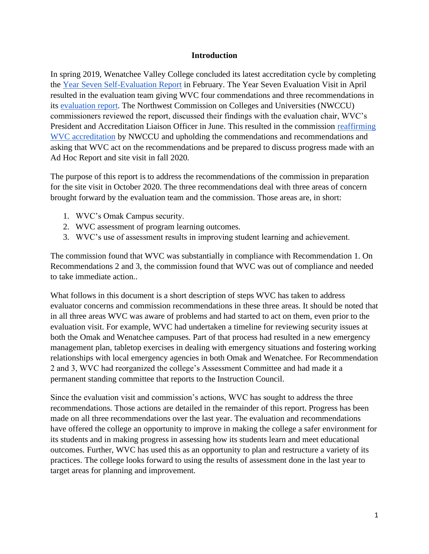#### **Introduction**

In spring 2019, Wenatchee Valley College concluded its latest accreditation cycle by completing the [Year Seven Self-Evaluation Report](https://nwccu.box.com/s/qqjpd18hp7tds2h3jm23n3tbsdcc3hds) in February. The Year Seven Evaluation Visit in April resulted in the evaluation team giving WVC four commendations and three recommendations in its [evaluation report.](https://nwccu.box.com/s/vjxi4c7fqsl2cmqdw6193jgokxx3flqd) The Northwest Commission on Colleges and Universities (NWCCU) commissioners reviewed the report, discussed their findings with the evaluation chair, WVC's President and Accreditation Liaison Officer in June. This resulted in the commission [reaffirming](https://nwccu.box.com/s/ii1ag8eicqglr3a3qs01u5jipwk4p7q2)  [WVC accreditation](https://nwccu.box.com/s/ii1ag8eicqglr3a3qs01u5jipwk4p7q2) by NWCCU and upholding the commendations and recommendations and asking that WVC act on the recommendations and be prepared to discuss progress made with an Ad Hoc Report and site visit in fall 2020.

The purpose of this report is to address the recommendations of the commission in preparation for the site visit in October 2020. The three recommendations deal with three areas of concern brought forward by the evaluation team and the commission. Those areas are, in short:

- 1. WVC's Omak Campus security.
- 2. WVC assessment of program learning outcomes.
- 3. WVC's use of assessment results in improving student learning and achievement.

The commission found that WVC was substantially in compliance with Recommendation 1. On Recommendations 2 and 3, the commission found that WVC was out of compliance and needed to take immediate action..

What follows in this document is a short description of steps WVC has taken to address evaluator concerns and commission recommendations in these three areas. It should be noted that in all three areas WVC was aware of problems and had started to act on them, even prior to the evaluation visit. For example, WVC had undertaken a timeline for reviewing security issues at both the Omak and Wenatchee campuses. Part of that process had resulted in a new emergency management plan, tabletop exercises in dealing with emergency situations and fostering working relationships with local emergency agencies in both Omak and Wenatchee. For Recommendation 2 and 3, WVC had reorganized the college's Assessment Committee and had made it a permanent standing committee that reports to the Instruction Council.

Since the evaluation visit and commission's actions, WVC has sought to address the three recommendations. Those actions are detailed in the remainder of this report. Progress has been made on all three recommendations over the last year. The evaluation and recommendations have offered the college an opportunity to improve in making the college a safer environment for its students and in making progress in assessing how its students learn and meet educational outcomes. Further, WVC has used this as an opportunity to plan and restructure a variety of its practices. The college looks forward to using the results of assessment done in the last year to target areas for planning and improvement.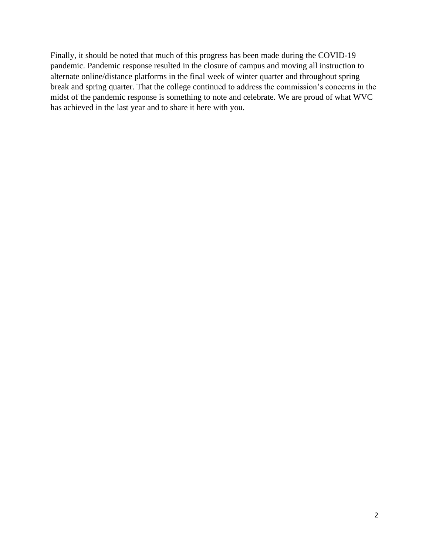Finally, it should be noted that much of this progress has been made during the COVID-19 pandemic. Pandemic response resulted in the closure of campus and moving all instruction to alternate online/distance platforms in the final week of winter quarter and throughout spring break and spring quarter. That the college continued to address the commission's concerns in the midst of the pandemic response is something to note and celebrate. We are proud of what WVC has achieved in the last year and to share it here with you.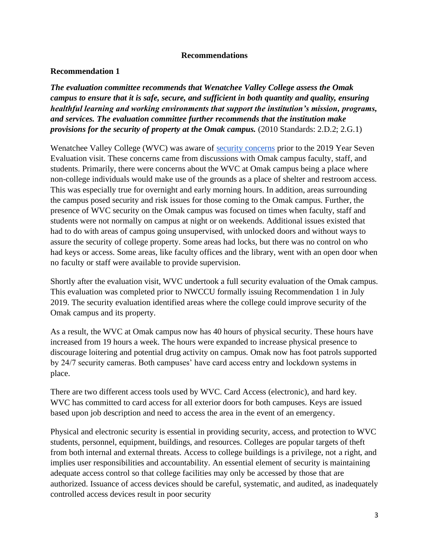#### **Recommendations**

## <span id="page-6-1"></span><span id="page-6-0"></span>**Recommendation 1**

*The evaluation committee recommends that Wenatchee Valley College assess the Omak campus to ensure that it is safe, secure, and sufficient in both quantity and quality, ensuring healthful learning and working environments that support the institution's mission, programs, and services. The evaluation committee further recommends that the institution make provisions for the security of property at the Omak campus.* (2010 Standards: 2.D.2; 2.G.1)

Wenatchee Valley College (WVC) was aware of [security concerns](https://nwccu.box.com/s/e8o27yvxbnskzjwz4tvm1zazxqilynvi) prior to the 2019 Year Seven Evaluation visit. These concerns came from discussions with Omak campus faculty, staff, and students. Primarily, there were concerns about the WVC at Omak campus being a place where non-college individuals would make use of the grounds as a place of shelter and restroom access. This was especially true for overnight and early morning hours. In addition, areas surrounding the campus posed security and risk issues for those coming to the Omak campus. Further, the presence of WVC security on the Omak campus was focused on times when faculty, staff and students were not normally on campus at night or on weekends. Additional issues existed that had to do with areas of campus going unsupervised, with unlocked doors and without ways to assure the security of college property. Some areas had locks, but there was no control on who had keys or access. Some areas, like faculty offices and the library, went with an open door when no faculty or staff were available to provide supervision.

Shortly after the evaluation visit, WVC undertook a full security evaluation of the Omak campus. This evaluation was completed prior to NWCCU formally issuing Recommendation 1 in July 2019. The security evaluation identified areas where the college could improve security of the Omak campus and its property.

As a result, the WVC at Omak campus now has 40 hours of physical security. These hours have increased from 19 hours a week. The hours were expanded to increase physical presence to discourage loitering and potential drug activity on campus. Omak now has foot patrols supported by 24/7 security cameras. Both campuses' have card access entry and lockdown systems in place.

There are two different access tools used by WVC. Card Access (electronic), and hard key. WVC has committed to card access for all exterior doors for both campuses. Keys are issued based upon job description and need to access the area in the event of an emergency.

Physical and electronic security is essential in providing security, access, and protection to WVC students, personnel, equipment, buildings, and resources. Colleges are popular targets of theft from both internal and external threats. Access to college buildings is a privilege, not a right, and implies user responsibilities and accountability. An essential element of security is maintaining adequate access control so that college facilities may only be accessed by those that are authorized. Issuance of access devices should be careful, systematic, and audited, as inadequately controlled access devices result in poor security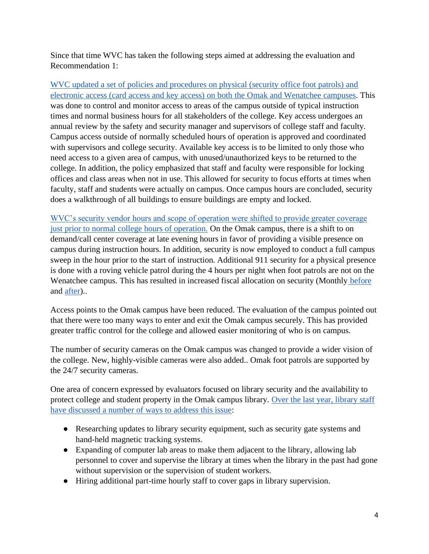Since that time WVC has taken the following steps aimed at addressing the evaluation and Recommendation 1:

[WVC updated a set of policies and procedures on physical \(security office foot patrols\) and](https://nam10.safelinks.protection.outlook.com/?url=https%3A%2F%2Fwww.wvc.edu%2Fhumanresources%2Fpolicies-procedures%2F600-administrative-services%2F600.507-physical-electronic-access-control.html&data=02%7C01%7Ctjones%40wvc.edu%7Cac1f1771899442f0d7a608d82f42f317%7Cfe590da28322492da44c32a1d698a506%7C0%7C0%7C637311311921009920&sdata=ou%2F1ljj%2BX2eTFVE0s4NWC99MfpK5svYq5RKVvo0wtSI%3D&reserved=0)  [electronic access \(card access and key access\) on both the Omak and Wenatchee campuses.](https://nam10.safelinks.protection.outlook.com/?url=https%3A%2F%2Fwww.wvc.edu%2Fhumanresources%2Fpolicies-procedures%2F600-administrative-services%2F600.507-physical-electronic-access-control.html&data=02%7C01%7Ctjones%40wvc.edu%7Cac1f1771899442f0d7a608d82f42f317%7Cfe590da28322492da44c32a1d698a506%7C0%7C0%7C637311311921009920&sdata=ou%2F1ljj%2BX2eTFVE0s4NWC99MfpK5svYq5RKVvo0wtSI%3D&reserved=0) This was done to control and monitor access to areas of the campus outside of typical instruction times and normal business hours for all stakeholders of the college. Key access undergoes an annual review by the safety and security manager and supervisors of college staff and faculty. Campus access outside of normally scheduled hours of operation is approved and coordinated with supervisors and college security. Available key access is to be limited to only those who need access to a given area of campus, with unused/unauthorized keys to be returned to the college. In addition, the policy emphasized that staff and faculty were responsible for locking offices and class areas when not in use. This allowed for security to focus efforts at times when faculty, staff and students were actually on campus. Once campus hours are concluded, security does a walkthrough of all buildings to ensure buildings are empty and locked.

[WVC's security vendor hours and scope of operation were shifted to provide greater coverage](https://nwccu.box.com/s/7kd5df3yrvqrlllxm86bzg8uq5nxxhvj)  [just prior to normal college hours of operation.](https://nwccu.box.com/s/7kd5df3yrvqrlllxm86bzg8uq5nxxhvj) On the Omak campus, there is a shift to on demand/call center coverage at late evening hours in favor of providing a visible presence on campus during instruction hours. In addition, security is now employed to conduct a full campus sweep in the hour prior to the start of instruction. Additional 911 security for a physical presence is done with a roving vehicle patrol during the 4 hours per night when foot patrols are not on the Wenatchee campus. This has resulted in increased fiscal allocation on security (Monthly before and [after\)](https://nwccu.box.com/s/bgowdwsk72lq0cest3or0fl39z4gy6xm)..

Access points to the Omak campus have been reduced. The evaluation of the campus pointed out that there were too many ways to enter and exit the Omak campus securely. This has provided greater traffic control for the college and allowed easier monitoring of who is on campus.

The number of security cameras on the Omak campus was changed to provide a wider vision of the college. New, highly-visible cameras were also added.. Omak foot patrols are supported by the 24/7 security cameras.

One area of concern expressed by evaluators focused on library security and the availability to protect college and student property in the Omak campus library. [Over the last year, library staff](https://nwccu.box.com/s/fu3cmmojy1zsi8qegl8yb3wbw12fq22d)  [have discussed a number of ways to address this issue:](https://nwccu.box.com/s/fu3cmmojy1zsi8qegl8yb3wbw12fq22d)

- Researching updates to library security equipment, such as security gate systems and hand-held magnetic tracking systems.
- Expanding of computer lab areas to make them adjacent to the library, allowing lab personnel to cover and supervise the library at times when the library in the past had gone without supervision or the supervision of student workers.
- Hiring additional part-time hourly staff to cover gaps in library supervision.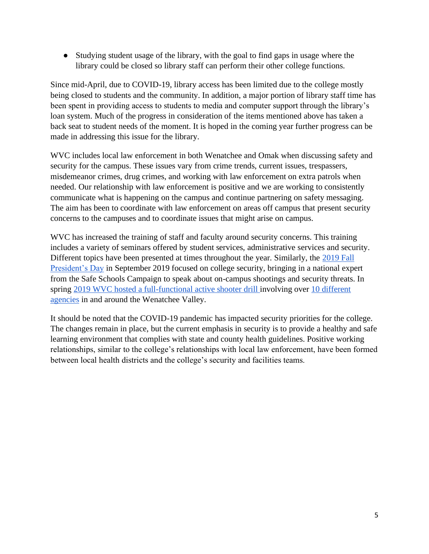● Studying student usage of the library, with the goal to find gaps in usage where the library could be closed so library staff can perform their other college functions.

Since mid-April, due to COVID-19, library access has been limited due to the college mostly being closed to students and the community. In addition, a major portion of library staff time has been spent in providing access to students to media and computer support through the library's loan system. Much of the progress in consideration of the items mentioned above has taken a back seat to student needs of the moment. It is hoped in the coming year further progress can be made in addressing this issue for the library.

WVC includes local law enforcement in both Wenatchee and Omak when discussing safety and security for the campus. These issues vary from crime trends, current issues, trespassers, misdemeanor crimes, drug crimes, and working with law enforcement on extra patrols when needed. Our relationship with law enforcement is positive and we are working to consistently communicate what is happening on the campus and continue partnering on safety messaging. The aim has been to coordinate with law enforcement on areas off campus that present security concerns to the campuses and to coordinate issues that might arise on campus.

WVC has increased the training of staff and faculty around security concerns. This training includes a variety of seminars offered by student services, administrative services and security. Different topics have been presented at times throughout the year. Similarly, the [2019 Fall](https://nwccu.box.com/s/n8odlijuyji544zh8d3y6u4j5mwwt7zx)  [President's Day](https://nwccu.box.com/s/n8odlijuyji544zh8d3y6u4j5mwwt7zx) in September 2019 focused on college security, bringing in a national expert from the Safe Schools Campaign to speak about on-campus shootings and security threats. In spring [2019 WVC hosted a full-functional active shooter drill i](https://www.wvc.edu/news/2018-19/emergency-training-exercise-2019.aspx#English)nvolving over [10 different](http://www.ifiberone.com/columbia_basin/multi-agency-emergency-response-training-held-at-wvc-on-friday/article_c7aef46e-a4fa-11e9-a017-979c923370d9.html)  [agencies](http://www.ifiberone.com/columbia_basin/multi-agency-emergency-response-training-held-at-wvc-on-friday/article_c7aef46e-a4fa-11e9-a017-979c923370d9.html) in and around the Wenatchee Valley.

It should be noted that the COVID-19 pandemic has impacted security priorities for the college. The changes remain in place, but the current emphasis in security is to provide a healthy and safe learning environment that complies with state and county health guidelines. Positive working relationships, similar to the college's relationships with local law enforcement, have been formed between local health districts and the college's security and facilities teams.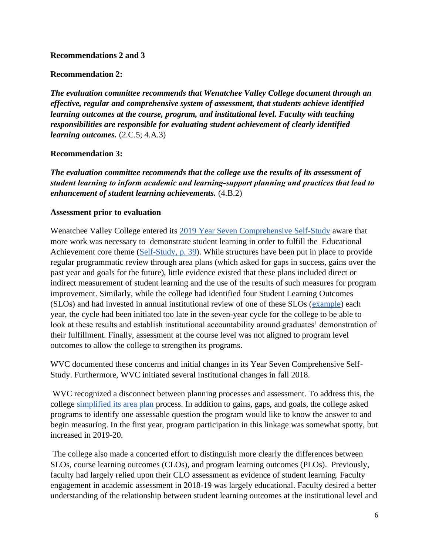#### **Recommendations 2 and 3**

#### **Recommendation 2:**

*The evaluation committee recommends that Wenatchee Valley College document through an effective, regular and comprehensive system of assessment, that students achieve identified learning outcomes at the course, program, and institutional level. Faculty with teaching responsibilities are responsible for evaluating student achievement of clearly identified learning outcomes.* (2.C.5; 4.A.3)

#### **Recommendation 3:**

*The evaluation committee recommends that the college use the results of its assessment of student learning to inform academic and learning‐support planning and practices that lead to enhancement of student learning achievements.* (4.B.2)

#### <span id="page-9-0"></span>**Assessment prior to evaluation**

Wenatchee Valley College entered its [2019 Year Seven Comprehensive Self-Study](https://nwccu.box.com/s/qqjpd18hp7tds2h3jm23n3tbsdcc3hds) aware that more work was necessary to demonstrate student learning in order to fulfill the Educational Achievement core theme [\(Self-Study, p. 39\)](https://nwccu.box.com/s/qqjpd18hp7tds2h3jm23n3tbsdcc3hds). While structures have been put in place to provide regular programmatic review through area plans (which asked for gaps in success, gains over the past year and goals for the future), little evidence existed that these plans included direct or indirect measurement of student learning and the use of the results of such measures for program improvement. Similarly, while the college had identified four Student Learning Outcomes (SLOs) and had invested in annual institutional review of one of these SLOs [\(example\)](https://nwccu.box.com/s/lqrdgzwa73dzzy9abjn3q0yd97fqq5co) each year, the cycle had been initiated too late in the seven-year cycle for the college to be able to look at these results and establish institutional accountability around graduates' demonstration of their fulfillment. Finally, assessment at the course level was not aligned to program level outcomes to allow the college to strengthen its programs.

WVC documented these concerns and initial changes in its Year Seven Comprehensive Self-Study. Furthermore, WVC initiated several institutional changes in fall 2018.

WVC recognized a disconnect between planning processes and assessment. To address this, the college [simplified its area plan p](https://nwccu.box.com/s/t8xmm62u10uw1gsrmk8lohzssexefc1b)rocess. In addition to gains, gaps, and goals, the college asked programs to identify one assessable question the program would like to know the answer to and begin measuring. In the first year, program participation in this linkage was somewhat spotty, but increased in 2019-20.

The college also made a concerted effort to distinguish more clearly the differences between SLOs, course learning outcomes (CLOs), and program learning outcomes (PLOs). Previously, faculty had largely relied upon their CLO assessment as evidence of student learning. Faculty engagement in academic assessment in 2018-19 was largely educational. Faculty desired a better understanding of the relationship between student learning outcomes at the institutional level and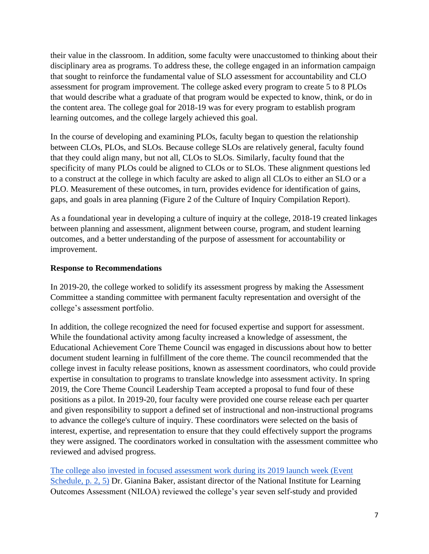their value in the classroom. In addition, some faculty were unaccustomed to thinking about their disciplinary area as programs. To address these, the college engaged in an information campaign that sought to reinforce the fundamental value of SLO assessment for accountability and CLO assessment for program improvement. The college asked every program to create 5 to 8 PLOs that would describe what a graduate of that program would be expected to know, think, or do in the content area. The college goal for 2018-19 was for every program to establish program learning outcomes, and the college largely achieved this goal.

In the course of developing and examining PLOs, faculty began to question the relationship between CLOs, PLOs, and SLOs. Because college SLOs are relatively general, faculty found that they could align many, but not all, CLOs to SLOs. Similarly, faculty found that the specificity of many PLOs could be aligned to CLOs or to SLOs. These alignment questions led to a construct at the college in which faculty are asked to align all CLOs to either an SLO or a PLO. Measurement of these outcomes, in turn, provides evidence for identification of gains, gaps, and goals in area planning (Figure 2 of the Culture of Inquiry Compilation Report).

As a foundational year in developing a culture of inquiry at the college, 2018-19 created linkages between planning and assessment, alignment between course, program, and student learning outcomes, and a better understanding of the purpose of assessment for accountability or improvement.

#### <span id="page-10-0"></span>**Response to Recommendations**

In 2019-20, the college worked to solidify its assessment progress by making the Assessment Committee a standing committee with permanent faculty representation and oversight of the college's assessment portfolio.

In addition, the college recognized the need for focused expertise and support for assessment. While the foundational activity among faculty increased a knowledge of assessment, the Educational Achievement Core Theme Council was engaged in discussions about how to better document student learning in fulfillment of the core theme. The council recommended that the college invest in faculty release positions, known as assessment coordinators, who could provide expertise in consultation to programs to translate knowledge into assessment activity. In spring 2019, the Core Theme Council Leadership Team accepted a proposal to fund four of these positions as a pilot. In 2019-20, four faculty were provided one course release each per quarter and given responsibility to support a defined set of instructional and non-instructional programs to advance the college's culture of inquiry. These coordinators were selected on the basis of interest, expertise, and representation to ensure that they could effectively support the programs they were assigned. The coordinators worked in consultation with the assessment committee who reviewed and advised progress.

[The college also invested in focused assessment work during its 2019 launch week \(Event](https://nwccu.box.com/s/n8odlijuyji544zh8d3y6u4j5mwwt7zx)  [Schedule, p. 2, 5\)](https://nwccu.box.com/s/n8odlijuyji544zh8d3y6u4j5mwwt7zx) Dr. Gianina Baker, assistant director of the National Institute for Learning Outcomes Assessment (NILOA) reviewed the college's year seven self-study and provided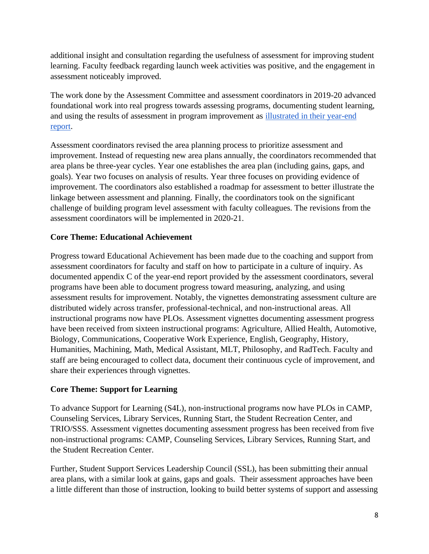additional insight and consultation regarding the usefulness of assessment for improving student learning. Faculty feedback regarding launch week activities was positive, and the engagement in assessment noticeably improved.

The work done by the Assessment Committee and assessment coordinators in 2019-20 advanced foundational work into real progress towards assessing programs, documenting student learning, and using the results of assessment in program improvement as [illustrated in their year-end](https://nwccu.box.com/s/q7617dhvhx26eq8coa1qi23n8q1lj4cg)  [report.](https://nwccu.box.com/s/q7617dhvhx26eq8coa1qi23n8q1lj4cg)

Assessment coordinators revised the area planning process to prioritize assessment and improvement. Instead of requesting new area plans annually, the coordinators recommended that area plans be three-year cycles. Year one establishes the area plan (including gains, gaps, and goals). Year two focuses on analysis of results. Year three focuses on providing evidence of improvement. The coordinators also established a roadmap for assessment to better illustrate the linkage between assessment and planning. Finally, the coordinators took on the significant challenge of building program level assessment with faculty colleagues. The revisions from the assessment coordinators will be implemented in 2020-21.

# **Core Theme: Educational Achievement**

Progress toward Educational Achievement has been made due to the coaching and support from assessment coordinators for faculty and staff on how to participate in a culture of inquiry. As documented appendix C of the year-end report provided by the assessment coordinators, several programs have been able to document progress toward measuring, analyzing, and using assessment results for improvement. Notably, the vignettes demonstrating assessment culture are distributed widely across transfer, professional-technical, and non-instructional areas. All instructional programs now have PLOs. Assessment vignettes documenting assessment progress have been received from sixteen instructional programs: Agriculture, Allied Health, Automotive, Biology, Communications, Cooperative Work Experience, English, Geography, History, Humanities, Machining, Math, Medical Assistant, MLT, Philosophy, and RadTech. Faculty and staff are being encouraged to collect data, document their continuous cycle of improvement, and share their experiences through vignettes.

## **Core Theme: Support for Learning**

To advance Support for Learning (S4L), non-instructional programs now have PLOs in CAMP, Counseling Services, Library Services, Running Start, the Student Recreation Center, and TRIO/SSS. Assessment vignettes documenting assessment progress has been received from five non-instructional programs: CAMP, Counseling Services, Library Services, Running Start, and the Student Recreation Center.

Further, Student Support Services Leadership Council (SSL), has been submitting their annual area plans, with a similar look at gains, gaps and goals. Their assessment approaches have been a little different than those of instruction, looking to build better systems of support and assessing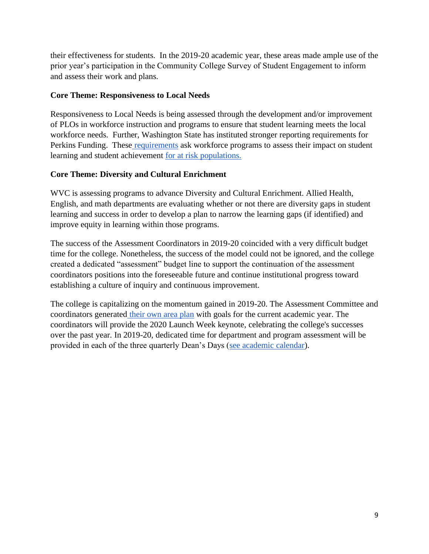their effectiveness for students. In the 2019-20 academic year, these areas made ample use of the prior year's participation in the Community College Survey of Student Engagement to inform and assess their work and plans.

# **Core Theme: Responsiveness to Local Needs**

Responsiveness to Local Needs is being assessed through the development and/or improvement of PLOs in workforce instruction and programs to ensure that student learning meets the local workforce needs. Further, Washington State has instituted stronger reporting requirements for Perkins Funding. These [requirements](https://nwccu.box.com/s/n3pgpb5kh3muna7h4ykbdfy6dbk3m0v0) ask workforce programs to assess their impact on student learning and student achievement [for at risk populations.](https://tableau.sbctc.edu/t/SBCTC/views/PerkinsPerformanceIndicators2016-17/Dashboard1?:embed=y&:showAppBanner=false&:display_count=no&:showVizHome=no)

# **Core Theme: Diversity and Cultural Enrichment**

WVC is assessing programs to advance Diversity and Cultural Enrichment. Allied Health, English, and math departments are evaluating whether or not there are diversity gaps in student learning and success in order to develop a plan to narrow the learning gaps (if identified) and improve equity in learning within those programs.

The success of the Assessment Coordinators in 2019-20 coincided with a very difficult budget time for the college. Nonetheless, the success of the model could not be ignored, and the college created a dedicated "assessment" budget line to support the continuation of the assessment coordinators positions into the foreseeable future and continue institutional progress toward establishing a culture of inquiry and continuous improvement.

The college is capitalizing on the momentum gained in 2019-20. The Assessment Committee and coordinators generated [their own area plan](https://nwccu.box.com/s/n531amm3aub3tpvs58g7af8quq45wjkm) with goals for the current academic year. The coordinators will provide the 2020 Launch Week keynote, celebrating the college's successes over the past year. In 2019-20, dedicated time for department and program assessment will be provided in each of the three quarterly Dean's Days [\(see academic calendar\)](https://nwccu.box.com/s/1ypered4ubx98bytw7rbrsnvwdna2jah).